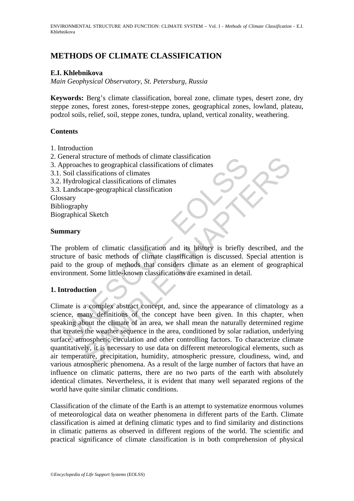# **METHODS OF CLIMATE CLASSIFICATION**

## **E.I. Khlebnikova**

*Main Geophysical Observatory, St. Petersburg, Russia*

**Keywords:** Berg's climate classification, boreal zone, climate types, desert zone, dry steppe zones, forest zones, forest-steppe zones, geographical zones, lowland, plateau, podzol soils, relief, soil, steppe zones, tundra, upland, vertical zonality, weathering.

### **Contents**

- 1. Introduction
- 2. General structure of methods of climate classification
- 3. Approaches to geographical classifications of climates
- 3.1. Soil classifications of climates
- 3.2. Hydrological classifications of climates
- 3.3. Landscape-geographical classification

Glossary

Bibliography Biographical Sketch

#### **Summary**

The problem of climatic classification and its history is briefly described, and the structure of basic methods of climate classification is discussed. Special attention is paid to the group of methods that considers climate as an element of geographical environment. Some little-known classifications are examined in detail.

### **1. Introduction**

Expression structure of methods of climate classification<br>
Soil classifications of climates<br>
Soil classifications of climates<br>
Hydrological classifications of climates<br>
Landscape-geographical classification<br>
ssary<br>
liograp structure of methods of climate classification<br>structure of methods of climates<br>assifications of climates<br>assifications of climates<br>logical classifications of climates<br>assifications of climates<br>per-geographical classificat Climate is a complex abstract concept, and, since the appearance of climatology as a science, many definitions of the concept have been given. In this chapter, when speaking about the climate of an area, we shall mean the naturally determined regime that creates the weather sequence in the area, conditioned by solar radiation, underlying surface, atmospheric circulation and other controlling factors. To characterize climate quantitatively, it is necessary to use data on different meteorological elements, such as air temperature, precipitation, humidity, atmospheric pressure, cloudiness, wind, and various atmospheric phenomena. As a result of the large number of factors that have an influence on climatic patterns, there are no two parts of the earth with absolutely identical climates. Nevertheless, it is evident that many well separated regions of the world have quite similar climatic conditions.

Classification of the climate of the Earth is an attempt to systematize enormous volumes of meteorological data on weather phenomena in different parts of the Earth. Climate classification is aimed at defining climatic types and to find similarity and distinctions in climatic patterns as observed in different regions of the world. The scientific and practical significance of climate classification is in both comprehension of physical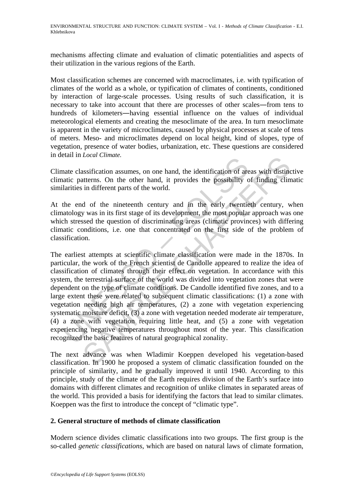mechanisms affecting climate and evaluation of climatic potentialities and aspects of their utilization in the various regions of the Earth.

Most classification schemes are concerned with macroclimates, i.e. with typification of climates of the world as a whole, or typification of climates of continents, conditioned by interaction of large-scale processes. Using results of such classification, it is necessary to take into account that there are processes of other scales―from tens to hundreds of kilometers―having essential influence on the values of individual meteorological elements and creating the mesoclimate of the area. In turn mesoclimate is apparent in the variety of microclimates, caused by physical processes at scale of tens of meters. Meso- and microclimates depend on local height, kind of slopes, type of vegetation, presence of water bodies, urbanization, etc. These questions are considered in detail in *Local Climate.* 

Climate classification assumes, on one hand, the identification of areas with distinctive climatic patterns. On the other hand, it provides the possibility of finding climatic similarities in different parts of the world.

At the end of the nineteenth century and in the early twentieth century, when climatology was in its first stage of its development, the most popular approach was one which stressed the question of discriminating areas (climatic provinces) with differing climatic conditions, i.e. one that concentrated on the first side of the problem of classification.

nate classification assumes, on one hand, the identification of are<br>attic patterns. On the other hand, it provides the possibility clarities in different parts of the world.<br>the end of the nineteenth century and in the ear Exercise and the identification of areas with distinct<br>then assumes, on one hand, the identification of areas with distinct<br>terms. On the other hand, it provides the possibility of finding clin<br>in different parts of the w The earliest attempts at scientific climate classification were made in the 1870s. In particular, the work of the French scientist de Candolle appeared to realize the idea of classification of climates through their effect on vegetation. In accordance with this system, the terrestrial surface of the world was divided into vegetation zones that were dependent on the type of climate conditions. De Candolle identified five zones, and to a large extent these were related to subsequent climatic classifications: (1) a zone with vegetation needing high air temperatures, (2) a zone with vegetation experiencing systematic moisture deficit, (3) a zone with vegetation needed moderate air temperature, (4) a zone with vegetation requiring little heat, and (5) a zone with vegetation experiencing negative temperatures throughout most of the year. This classification recognized the basic features of natural geographical zonality.

The next advance was when Wladimir Koeppen developed his vegetation-based classification. In 1900 he proposed a system of climatic classification founded on the principle of similarity, and he gradually improved it until 1940. According to this principle, study of the climate of the Earth requires division of the Earth's surface into domains with different climates and recognition of unlike climates in separated areas of the world. This provided a basis for identifying the factors that lead to similar climates. Koeppen was the first to introduce the concept of "climatic type".

### **2. General structure of methods of climate classification**

Modern science divides climatic classifications into two groups. The first group is the so-called *genetic classifications*, which are based on natural laws of climate formation,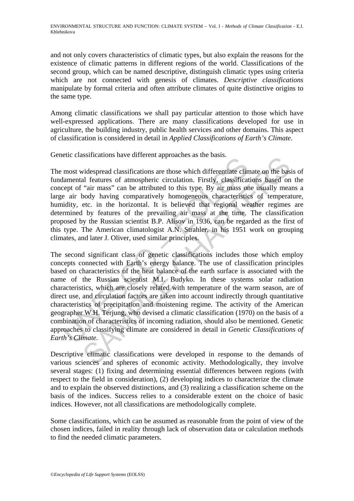and not only covers characteristics of climatic types, but also explain the reasons for the existence of climatic patterns in different regions of the world. Classifications of the second group, which can be named descriptive, distinguish climatic types using criteria which are not connected with genesis of climates. *Descriptive classifications* manipulate by formal criteria and often attribute climates of quite distinctive origins to the same type.

Among climatic classifications we shall pay particular attention to those which have well-expressed applications. There are many classifications developed for use in agriculture, the building industry, public health services and other domains. This aspect of classification is considered in detail in *Applied Classifications of Earth's Climate*.

Genetic classifications have different approaches as the basis.

The most widespread classifications are those which differentiate climate on the basis of fundamental features of atmospheric circulation. Firstly, classifications based on the concept of "air mass" can be attributed to this type. By air mass one usually means a large air body having comparatively homogeneous characteristics of temperature, humidity, etc. in the horizontal. It is believed that regional weather regimes are determined by features of the prevailing air mass at the time. The classification proposed by the Russian scientist B.P. Alisov in 1936, can be regarded as the first of this type. The American climatologist A.N. Strahler, in his 1951 work on grouping climates, and later J. Oliver, used similar principles.

example and solutions and the considerations are those which differentiate clindmental features of atmospheric circulation. Firstly, classificate equit of "air mass" can be attributed to this type. By air mass one air body ssincations have diricted approaches as the basis.<br>
videspread classifications are those which differentiate climate on the basis<br>
"arr mass" can be attributed to this type. By air mass one usually mean<br>
"arr mass" can be The second significant class of genetic classifications includes those which employ concepts connected with Earth's energy balance. The use of classification principles based on characteristics of the heat balance of the earth surface is associated with the name of the Russian scientist M.I. Budyko. In these systems solar radiation characteristics, which are closely related with temperature of the warm season, are of direct use, and circulation factors are taken into account indirectly through quantitative characteristics of precipitation and moistening regime. The activity of the American geographer W.H. Terjung, who devised a climatic classification (1970) on the basis of a combination of characteristics of incoming radiation, should also be mentioned. Genetic approaches to classifying climate are considered in detail in *Genetic Classifications of Earth's Climate.*

Descriptive climatic classifications were developed in response to the demands of various sciences and spheres of economic activity. Methodologically, they involve several stages: (1) fixing and determining essential differences between regions (with respect to the field in consideration), (2) developing indices to characterize the climate and to explain the observed distinctions, and (3) realizing a classification scheme on the basis of the indices. Success relies to a considerable extent on the choice of basic indices. However, not all classifications are methodologically complete.

Some classifications, which can be assumed as reasonable from the point of view of the chosen indices, failed in reality through lack of observation data or calculation methods to find the needed climatic parameters.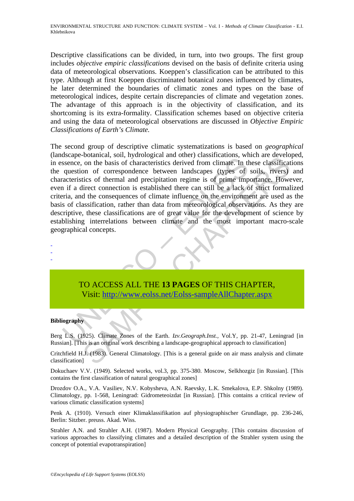Descriptive classifications can be divided, in turn, into two groups. The first group includes *objective empiric classifications* devised on the basis of definite criteria using data of meteorological observations. Koeppen's classification can be attributed to this type. Although at first Koeppen discriminated botanical zones influenced by climates, he later determined the boundaries of climatic zones and types on the base of meteorological indices, despite certain discrepancies of climate and vegetation zones. The advantage of this approach is in the objectivity of classification, and its shortcoming is its extra-formality. Classification schemes based on objective criteria and using the data of meteorological observations are discussed in *Objective Empiric Classifications of Earth's Climate.* 

asseure, on the basis of characteristics derived from climate. In the question of correspondence between landscapes (types of acteristics of thermal and precipitation regime is of prime importanties. The question is establ Foucality, solid on the basis of characteristics derived from climate. In these classification on the basis of characteristics derived from climate. In these classification of correspondence between landscapes (types of so The second group of descriptive climatic systematizations is based on *geographical* (landscape-botanical, soil, hydrological and other) classifications, which are developed, in essence, on the basis of characteristics derived from climate. In these classifications the question of correspondence between landscapes (types of soils, rivers) and characteristics of thermal and precipitation regime is of prime importance. However, even if a direct connection is established there can still be a lack of strict formalized criteria, and the consequences of climate influence on the environment are used as the basis of classification, rather than data from meteorological observations. As they are descriptive, these classifications are of great value for the development of science by establishing interrelations between climate and the most important macro-scale geographical concepts.



#### **Bibliography**

- - -

Berg L.S. (1925). Climate Zones of the Earth. *Izv.Geograph.Inst.,* Vol.Y, pp. 21-47, Leningrad [in Russian]. [This is an original work describing a landscape-geographical approach to classification]

Critchfield H.J. (1983). General Climatology. [This is a general guide on air mass analysis and climate classification]

Dokuchaev V.V. (1949). Selected works, vol.3, pp. 375-380. Moscow, Selkhozgiz [in Russian]. [This contains the first classification of natural geographical zones]

Drozdov O.A., V.A. Vasiliev, N.V. Kobysheva, A.N. Raevsky, L.K. Smekalova, E.P. Shkolny (1989). Climatology, pp. 1-568, Leningrad: Gidrometeoizdat [in Russian]. [This contains a critical review of various climatic classification systems]

Penk A. (1910). Versuch einer Klimaklassifikation auf physiographischer Grundlage, pp. 236-246, Berlin: Sitzber. preuss. Akad. Wiss.

Strahler A.N. and Strahler A.H. (1987). Modern Physical Geography. [This contains discussion of various approaches to classifying climates and a detailed description of the Strahler system using the concept of potential evapotranspiration]